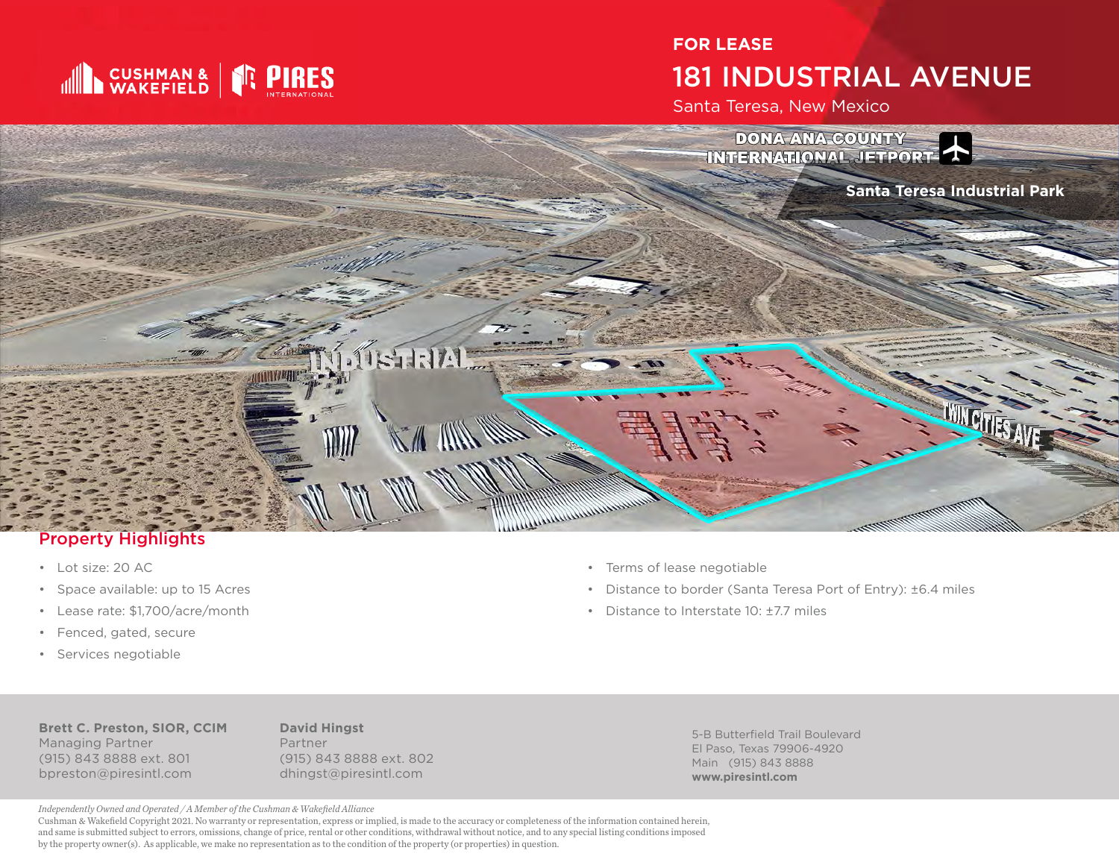

## **FOR LEASE** 181 INDUSTRIAL AVENUE

Santa Teresa, New Mexico



#### Property Highlights

- Lot size: 20 AC
- Space available: up to 15 Acres
- Lease rate: \$1,700/acre/month
- Fenced, gated, secure
- Services negotiable
- Terms of lease negotiable
- Distance to border (Santa Teresa Port of Entry): ±6.4 miles
- Distance to Interstate  $10 \cdot +77$  miles

**Brett C. Preston, SIOR, CCIM** Managing Partner (915) 843 8888 ext. 801 bpreston@piresintl.com

**David Hingst** Partner (915) 843 8888 ext. 802 dhingst@piresintl.com

5-B Butterfield Trail Boulevard El Paso, Texas 79906-4920 Main (915) 843 8888 **www.piresintl.com**

*Independently Owned and Operated / A Member of the Cushman & Wakefield Alliance*

Cushman & Wakefield Copyright 2021. No warranty or representation, express or implied, is made to the accuracy or completeness of the information contained herein, and same is submitted subject to errors, omissions, change of price, rental or other conditions, withdrawal without notice, and to any special listing conditions imposed by the property owner(s). As applicable, we make no representation as to the condition of the property (or properties) in question.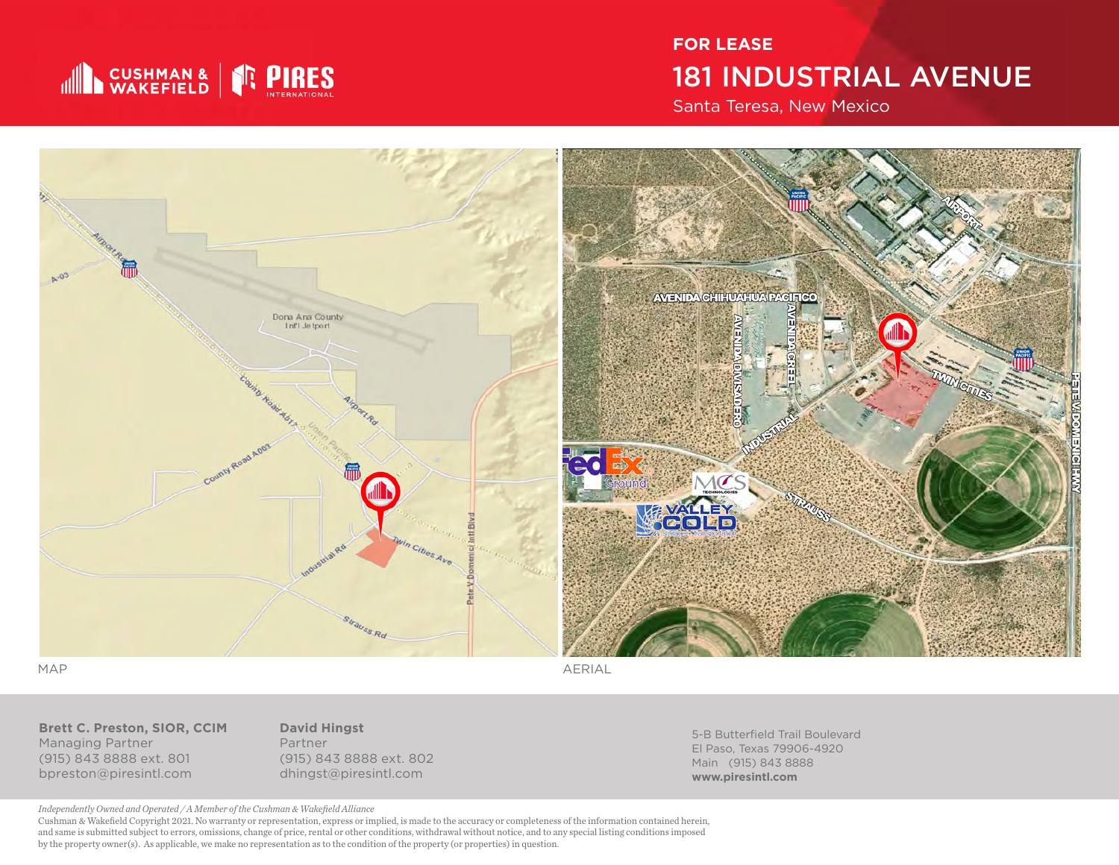

# **FOR LEASE** 181 INDUSTRIAL AVENUE

Santa Teresa, New Mexico



MAP AERIAL

**Brett C. Preston, SIOR, CCIM** Managing Partner (915) 843 8888 ext. 801 bpreston@piresintl.com

**David Hingst** Partner (915) 843 8888 ext. 802 dhingst@piresintl.com

5-B Butterfield Trail Boulevard El Paso, Texas 79906-4920 Main (915) 843 8888 **www.piresintl.com**

*Independently Owned and Operated / A Member of the Cushman & Wakefield Alliance*

Cushman & Wakefield Copyright 2021. No warranty or representation, express or implied, is made to the accuracy or completeness of the information contained herein, and same is submitted subject to errors, omissions, change of price, rental or other conditions, withdrawal without notice, and to any special listing conditions imposed by the property owner(s). As applicable, we make no representation as to the condition of the property (or properties) in question.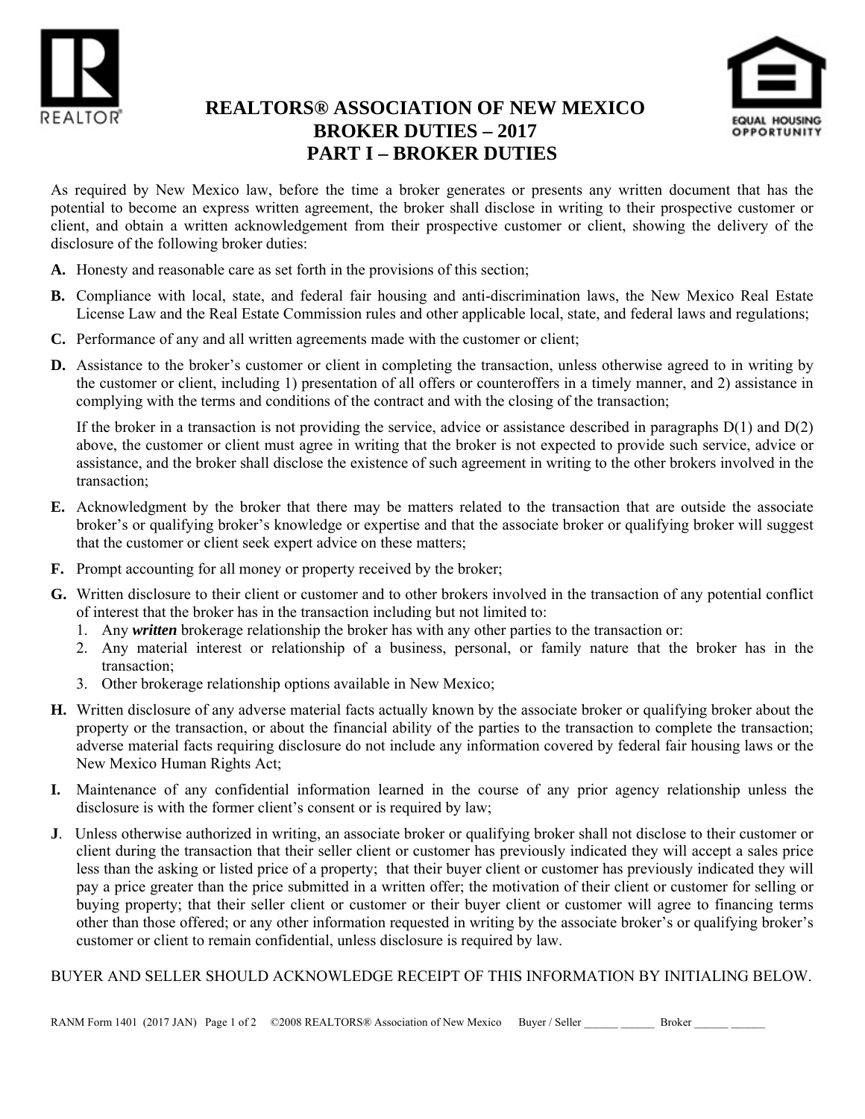



## **REALTORS® ASSOCIATION OF NEW MEXICO BROKER DUTIES – 2017 PART I – BROKER DUTIES**

As required by New Mexico law, before the time a broker generates or presents any written document that has the potential to become an express written agreement, the broker shall disclose in writing to their prospective customer or client, and obtain a written acknowledgement from their prospective customer or client, showing the delivery of the disclosure of the following broker duties:

- **A.** Honesty and reasonable care as set forth in the provisions of this section;
- **B.** Compliance with local, state, and federal fair housing and anti-discrimination laws, the New Mexico Real Estate License Law and the Real Estate Commission rules and other applicable local, state, and federal laws and regulations;
- **C.** Performance of any and all written agreements made with the customer or client;
- **D.** Assistance to the broker's customer or client in completing the transaction, unless otherwise agreed to in writing by the customer or client, including 1) presentation of all offers or counteroffers in a timely manner, and 2) assistance in complying with the terms and conditions of the contract and with the closing of the transaction;

If the broker in a transaction is not providing the service, advice or assistance described in paragraphs  $D(1)$  and  $D(2)$ above, the customer or client must agree in writing that the broker is not expected to provide such service, advice or assistance, and the broker shall disclose the existence of such agreement in writing to the other brokers involved in the transaction;

- **E.** Acknowledgment by the broker that there may be matters related to the transaction that are outside the associate broker's or qualifying broker's knowledge or expertise and that the associate broker or qualifying broker will suggest that the customer or client seek expert advice on these matters;
- **F.** Prompt accounting for all money or property received by the broker;
- **G.** Written disclosure to their client or customer and to other brokers involved in the transaction of any potential conflict of interest that the broker has in the transaction including but not limited to:
	- 1. Any *written* brokerage relationship the broker has with any other parties to the transaction or:
	- 2. Any material interest or relationship of a business, personal, or family nature that the broker has in the transaction;
	- 3. Other brokerage relationship options available in New Mexico;
- **H.** Written disclosure of any adverse material facts actually known by the associate broker or qualifying broker about the property or the transaction, or about the financial ability of the parties to the transaction to complete the transaction; adverse material facts requiring disclosure do not include any information covered by federal fair housing laws or the New Mexico Human Rights Act;
- **I.** Maintenance of any confidential information learned in the course of any prior agency relationship unless the disclosure is with the former client's consent or is required by law;
- **J**. Unless otherwise authorized in writing, an associate broker or qualifying broker shall not disclose to their customer or client during the transaction that their seller client or customer has previously indicated they will accept a sales price less than the asking or listed price of a property; that their buyer client or customer has previously indicated they will pay a price greater than the price submitted in a written offer; the motivation of their client or customer for selling or buying property; that their seller client or customer or their buyer client or customer will agree to financing terms other than those offered; or any other information requested in writing by the associate broker's or qualifying broker's customer or client to remain confidential, unless disclosure is required by law.

#### BUYER AND SELLER SHOULD ACKNOWLEDGE RECEIPT OF THIS INFORMATION BY INITIALING BELOW.